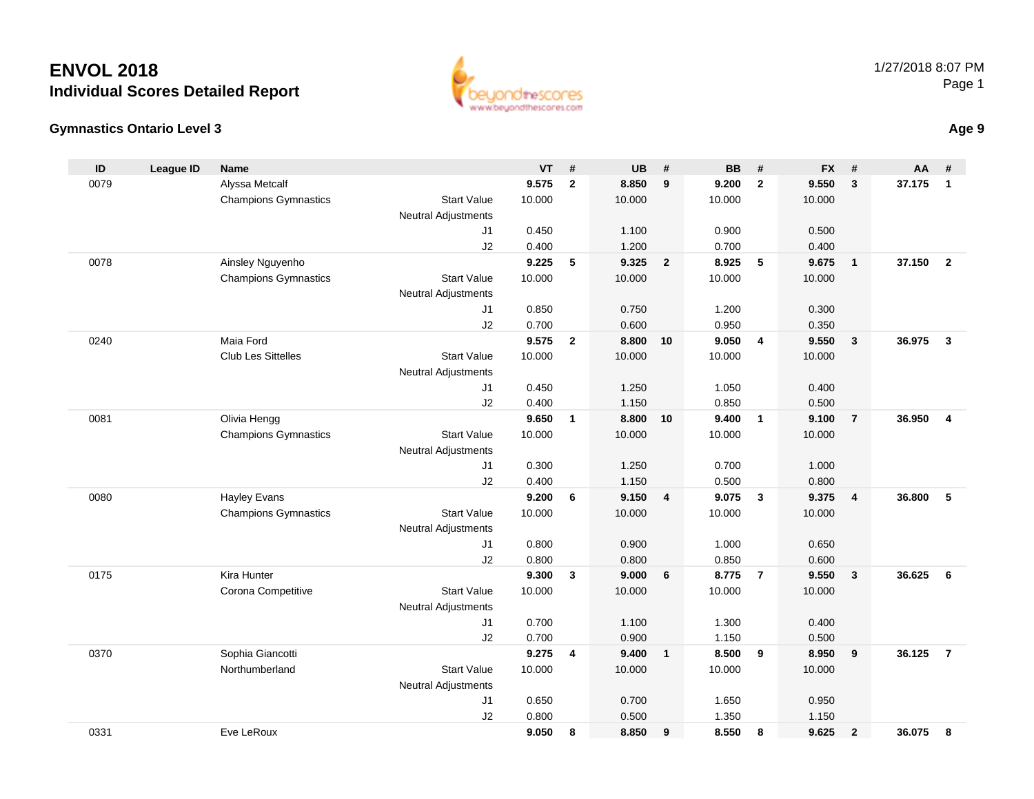



|  | Age 9 |
|--|-------|
|--|-------|

| ID   | <b>League ID</b> | Name                        |                            | VT             | #              | <b>UB</b>      | #              | <b>BB</b>      | #              | <b>FX</b>      | #                       | AA     | #              |
|------|------------------|-----------------------------|----------------------------|----------------|----------------|----------------|----------------|----------------|----------------|----------------|-------------------------|--------|----------------|
| 0079 |                  | Alyssa Metcalf              |                            | 9.575          | $\overline{2}$ | 8.850          | 9              | 9.200          | $\overline{2}$ | 9.550          | $\mathbf{3}$            | 37.175 | $\mathbf{1}$   |
|      |                  | <b>Champions Gymnastics</b> | <b>Start Value</b>         | 10.000         |                | 10.000         |                | 10.000         |                | 10.000         |                         |        |                |
|      |                  |                             | <b>Neutral Adjustments</b> |                |                |                |                |                |                |                |                         |        |                |
|      |                  |                             | J1                         | 0.450          |                | 1.100          |                | 0.900          |                | 0.500          |                         |        |                |
|      |                  |                             | J2                         | 0.400          |                | 1.200          |                | 0.700          |                | 0.400          |                         |        |                |
| 0078 |                  | Ainsley Nguyenho            |                            | 9.225          | 5              | 9.325          | $\overline{2}$ | 8.925          | 5              | 9.675          | $\overline{1}$          | 37.150 | $\overline{2}$ |
|      |                  | <b>Champions Gymnastics</b> | <b>Start Value</b>         | 10.000         |                | 10.000         |                | 10.000         |                | 10.000         |                         |        |                |
|      |                  |                             | <b>Neutral Adjustments</b> |                |                |                |                |                |                |                |                         |        |                |
|      |                  |                             | J1                         | 0.850          |                | 0.750          |                | 1.200          |                | 0.300          |                         |        |                |
|      |                  |                             | J2                         | 0.700          |                | 0.600          |                | 0.950          |                | 0.350          |                         |        |                |
| 0240 |                  | Maia Ford                   |                            | 9.575          | $\overline{2}$ | 8.800          | 10             | 9.050          | $\overline{4}$ | 9.550          | $\overline{\mathbf{3}}$ | 36.975 | $\overline{3}$ |
|      |                  | <b>Club Les Sittelles</b>   | <b>Start Value</b>         | 10.000         |                | 10.000         |                | 10.000         |                | 10.000         |                         |        |                |
|      |                  |                             | <b>Neutral Adjustments</b> |                |                |                |                |                |                |                |                         |        |                |
|      |                  |                             | J <sub>1</sub>             | 0.450          |                | 1.250          |                | 1.050          |                | 0.400          |                         |        |                |
|      |                  |                             | J2                         | 0.400          |                | 1.150          |                | 0.850          |                | 0.500          |                         |        |                |
| 0081 |                  | Olivia Hengg                |                            | 9.650          | $\mathbf{1}$   | 8.800          | 10             | 9.400          | $\overline{1}$ | 9.100          | $\overline{7}$          | 36.950 | $\overline{4}$ |
|      |                  | <b>Champions Gymnastics</b> | <b>Start Value</b>         | 10.000         |                | 10.000         |                | 10.000         |                | 10.000         |                         |        |                |
|      |                  |                             | Neutral Adjustments        |                |                |                |                |                |                |                |                         |        |                |
|      |                  |                             | J1<br>J2                   | 0.300<br>0.400 |                | 1.250<br>1.150 |                | 0.700<br>0.500 |                | 1.000<br>0.800 |                         |        |                |
| 0080 |                  | <b>Hayley Evans</b>         |                            | 9.200          | 6              | 9.150          | $\overline{4}$ | 9.075          | $\mathbf{3}$   | 9.375          | $\overline{4}$          | 36.800 | 5              |
|      |                  | <b>Champions Gymnastics</b> | <b>Start Value</b>         | 10.000         |                | 10.000         |                | 10.000         |                | 10.000         |                         |        |                |
|      |                  |                             | Neutral Adjustments        |                |                |                |                |                |                |                |                         |        |                |
|      |                  |                             | J1                         | 0.800          |                | 0.900          |                | 1.000          |                | 0.650          |                         |        |                |
|      |                  |                             | J2                         | 0.800          |                | 0.800          |                | 0.850          |                | 0.600          |                         |        |                |
| 0175 |                  | Kira Hunter                 |                            | 9.300          | 3              | 9.000          | 6              | 8.775          | $\overline{7}$ | 9.550          | $\overline{\mathbf{3}}$ | 36.625 | 6              |
|      |                  | Corona Competitive          | <b>Start Value</b>         | 10.000         |                | 10.000         |                | 10.000         |                | 10.000         |                         |        |                |
|      |                  |                             | Neutral Adjustments        |                |                |                |                |                |                |                |                         |        |                |
|      |                  |                             | J1                         | 0.700          |                | 1.100          |                | 1.300          |                | 0.400          |                         |        |                |
|      |                  |                             | J2                         | 0.700          |                | 0.900          |                | 1.150          |                | 0.500          |                         |        |                |
| 0370 |                  | Sophia Giancotti            |                            | 9.275          | 4              | 9.400          | $\mathbf{1}$   | 8.500          | 9              | 8.950          | 9                       | 36.125 | $\overline{7}$ |
|      |                  | Northumberland              | <b>Start Value</b>         | 10.000         |                | 10.000         |                | 10.000         |                | 10.000         |                         |        |                |
|      |                  |                             | <b>Neutral Adjustments</b> |                |                |                |                |                |                |                |                         |        |                |
|      |                  |                             | J1                         | 0.650          |                | 0.700          |                | 1.650          |                | 0.950          |                         |        |                |
|      |                  |                             | J2                         | 0.800          |                | 0.500          |                | 1.350          |                | 1.150          |                         |        |                |
| 0331 |                  | Eve LeRoux                  |                            | 9.050          | 8              | 8.850          | 9              | 8.550          | 8              | 9.625          | $\overline{2}$          | 36.075 | 8              |
|      |                  |                             |                            |                |                |                |                |                |                |                |                         |        |                |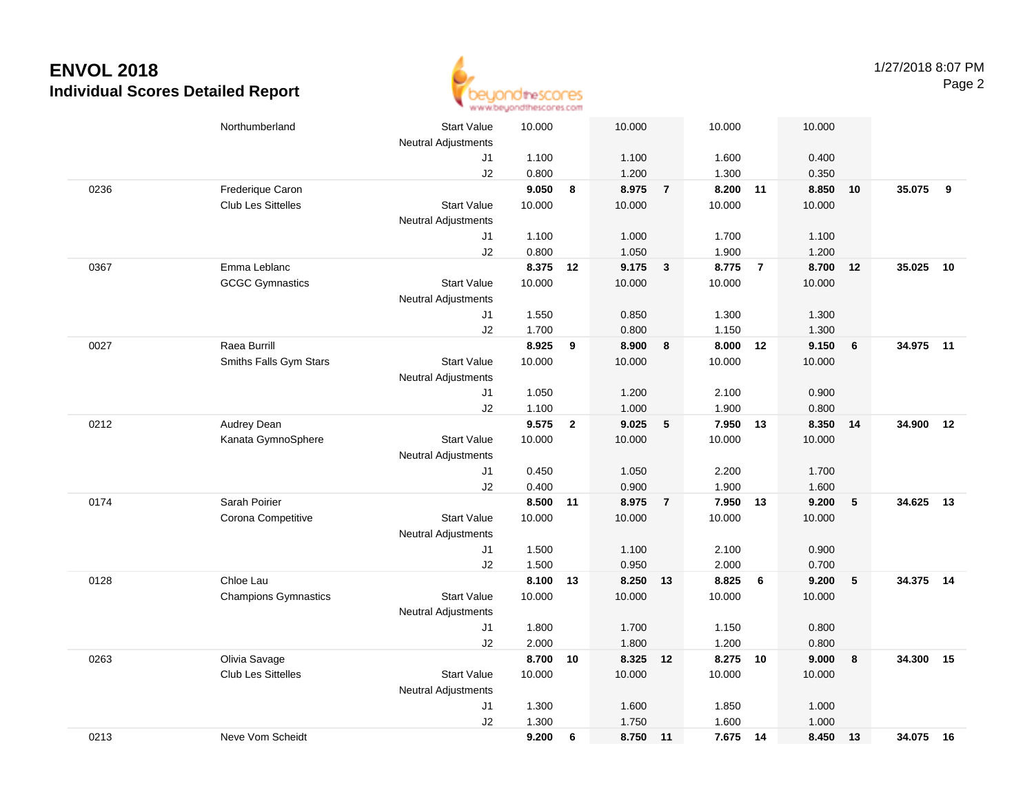

|      | Northumberland              | <b>Start Value</b>         | 10.000   |                | 10.000   |                | 10.000   |                | 10.000 |                 |           |      |
|------|-----------------------------|----------------------------|----------|----------------|----------|----------------|----------|----------------|--------|-----------------|-----------|------|
|      |                             | <b>Neutral Adjustments</b> |          |                |          |                |          |                |        |                 |           |      |
|      |                             | J1                         | 1.100    |                | 1.100    |                | 1.600    |                | 0.400  |                 |           |      |
|      |                             | J2                         | 0.800    |                | 1.200    |                | 1.300    |                | 0.350  |                 |           |      |
| 0236 | Frederique Caron            |                            | 9.050    | 8              | 8.975    | $\overline{7}$ | 8.200    | 11             | 8.850  | 10              | 35.075    | 9    |
|      | <b>Club Les Sittelles</b>   | <b>Start Value</b>         | 10.000   |                | 10.000   |                | 10.000   |                | 10.000 |                 |           |      |
|      |                             | <b>Neutral Adjustments</b> |          |                |          |                |          |                |        |                 |           |      |
|      |                             | J1                         | 1.100    |                | 1.000    |                | 1.700    |                | 1.100  |                 |           |      |
|      |                             | J2                         | 0.800    |                | 1.050    |                | 1.900    |                | 1.200  |                 |           |      |
| 0367 | Emma Leblanc                |                            | 8.375 12 |                | 9.175    | $\mathbf{3}$   | 8.775    | $\overline{7}$ | 8.700  | 12              | 35.025    | 10   |
|      | <b>GCGC Gymnastics</b>      | <b>Start Value</b>         | 10.000   |                | 10.000   |                | 10.000   |                | 10.000 |                 |           |      |
|      |                             | <b>Neutral Adjustments</b> |          |                |          |                |          |                |        |                 |           |      |
|      |                             | J1                         | 1.550    |                | 0.850    |                | 1.300    |                | 1.300  |                 |           |      |
|      |                             | J2                         | 1.700    |                | 0.800    |                | 1.150    |                | 1.300  |                 |           |      |
| 0027 | Raea Burrill                |                            | 8.925    | 9              | 8.900    | 8              | 8.000    | 12             | 9.150  | 6               | 34.975 11 |      |
|      | Smiths Falls Gym Stars      | <b>Start Value</b>         | 10.000   |                | 10.000   |                | 10.000   |                | 10.000 |                 |           |      |
|      |                             | <b>Neutral Adjustments</b> |          |                |          |                |          |                |        |                 |           |      |
|      |                             | J1                         | 1.050    |                | 1.200    |                | 2.100    |                | 0.900  |                 |           |      |
|      |                             | J2                         | 1.100    |                | 1.000    |                | 1.900    |                | 0.800  |                 |           |      |
| 0212 | Audrey Dean                 |                            | 9.575    | $\overline{2}$ | 9.025    | $\sqrt{5}$     | 7.950 13 |                | 8.350  | 14              | 34.900    | 12   |
|      | Kanata GymnoSphere          | <b>Start Value</b>         | 10.000   |                | 10.000   |                | 10.000   |                | 10.000 |                 |           |      |
|      |                             | <b>Neutral Adjustments</b> |          |                |          |                |          |                |        |                 |           |      |
|      |                             | J1                         | 0.450    |                | 1.050    |                | 2.200    |                | 1.700  |                 |           |      |
|      |                             | J2                         | 0.400    |                | 0.900    |                | 1.900    |                | 1.600  |                 |           |      |
| 0174 | Sarah Poirier               |                            | 8.500 11 |                | 8.975    | $\overline{7}$ | 7.950    | 13             | 9.200  | $5\phantom{.0}$ | 34.625    | - 13 |
|      | Corona Competitive          | <b>Start Value</b>         | 10.000   |                | 10.000   |                | 10.000   |                | 10.000 |                 |           |      |
|      |                             | <b>Neutral Adjustments</b> |          |                |          |                |          |                |        |                 |           |      |
|      |                             | J1                         | 1.500    |                | 1.100    |                | 2.100    |                | 0.900  |                 |           |      |
|      |                             | J2                         | 1.500    |                | 0.950    |                | 2.000    |                | 0.700  |                 |           |      |
| 0128 | Chloe Lau                   |                            | 8.100    | 13             | 8.250 13 |                | 8.825    | 6              | 9.200  | 5               | 34.375 14 |      |
|      | <b>Champions Gymnastics</b> | <b>Start Value</b>         | 10.000   |                | 10.000   |                | 10.000   |                | 10.000 |                 |           |      |
|      |                             | <b>Neutral Adjustments</b> |          |                |          |                |          |                |        |                 |           |      |
|      |                             | J1                         | 1.800    |                | 1.700    |                | 1.150    |                | 0.800  |                 |           |      |
|      |                             | J2                         | 2.000    |                | 1.800    |                | 1.200    |                | 0.800  |                 |           |      |
| 0263 | Olivia Savage               |                            | 8.700    | 10             | 8.325 12 |                | 8.275    | 10             | 9.000  | 8               | 34.300    | 15   |
|      | <b>Club Les Sittelles</b>   | <b>Start Value</b>         | 10.000   |                | 10.000   |                | 10.000   |                | 10.000 |                 |           |      |
|      |                             | Neutral Adjustments        |          |                |          |                |          |                |        |                 |           |      |
|      |                             | J1                         | 1.300    |                | 1.600    |                | 1.850    |                | 1.000  |                 |           |      |
|      |                             | J2                         | 1.300    |                | 1.750    |                | 1.600    |                | 1.000  |                 |           |      |
| 0213 | Neve Vom Scheidt            |                            | 9.200    | 6              | 8.750 11 |                | 7.675 14 |                | 8.450  | 13              | 34.075 16 |      |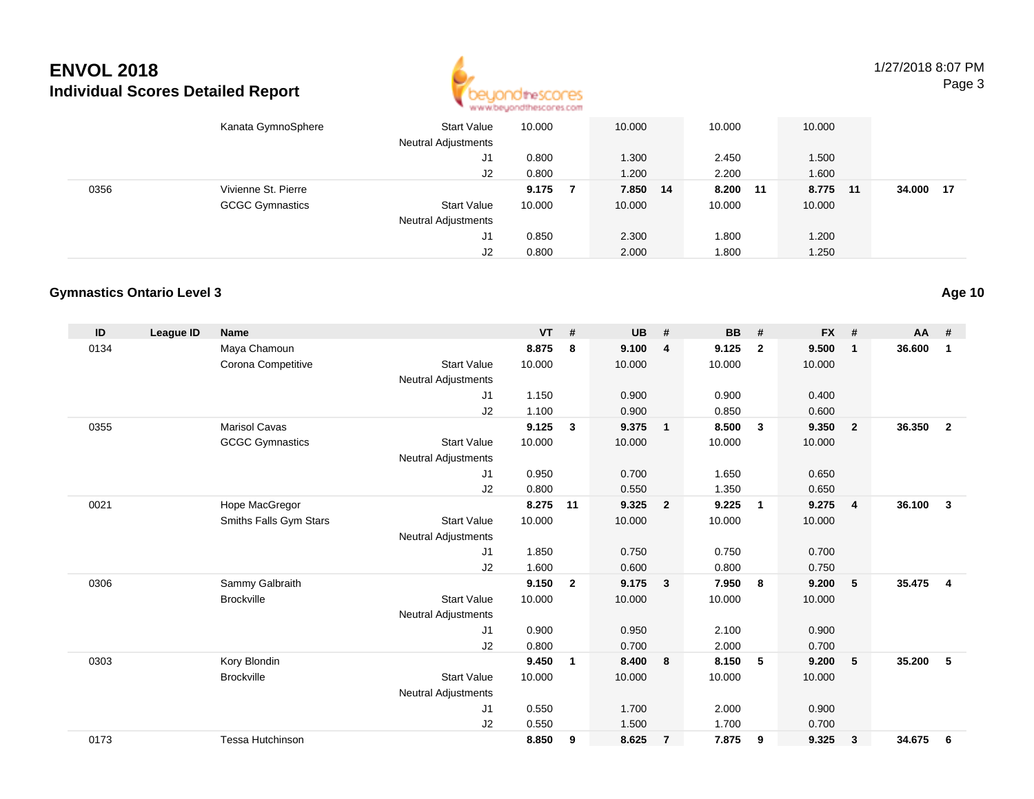

1/27/2018 8:07 PMPage 3

|      | Kanata GymnoSphere     | <b>Start Value</b><br><b>Neutral Adjustments</b> | 10.000 | 10.000   | 10.000   | 10.000 |     |        |     |
|------|------------------------|--------------------------------------------------|--------|----------|----------|--------|-----|--------|-----|
|      |                        | J1                                               | 0.800  | 1.300    | 2.450    | 1.500  |     |        |     |
|      |                        | J2                                               | 0.800  | 1.200    | 2.200    | 1.600  |     |        |     |
| 0356 | Vivienne St. Pierre    |                                                  | 9.175  | 7.850 14 | 8.200 11 | 8.775  | -11 | 34.000 | -17 |
|      | <b>GCGC Gymnastics</b> | Start Value                                      | 10.000 | 10.000   | 10.000   | 10.000 |     |        |     |
|      |                        | <b>Neutral Adjustments</b>                       |        |          |          |        |     |        |     |
|      |                        | J1                                               | 0.850  | 2.300    | 1.800    | 1.200  |     |        |     |
|      |                        | J2                                               | 0.800  | 2.000    | 1.800    | 1.250  |     |        |     |

#### **Gymnastics Ontario Level 3**

| ID   | <b>League ID</b> | <b>Name</b>             |                            | <b>VT</b> | #              | <b>UB</b> | #                       | <b>BB</b> | #              | <b>FX</b> | #              | AA     | #              |
|------|------------------|-------------------------|----------------------------|-----------|----------------|-----------|-------------------------|-----------|----------------|-----------|----------------|--------|----------------|
| 0134 |                  | Maya Chamoun            |                            | 8.875     | 8              | 9.100     | $\overline{4}$          | 9.125     | $\overline{2}$ | 9.500     | $\mathbf{1}$   | 36.600 | 1              |
|      |                  | Corona Competitive      | <b>Start Value</b>         | 10.000    |                | 10.000    |                         | 10.000    |                | 10.000    |                |        |                |
|      |                  |                         | <b>Neutral Adjustments</b> |           |                |           |                         |           |                |           |                |        |                |
|      |                  |                         | J1                         | 1.150     |                | 0.900     |                         | 0.900     |                | 0.400     |                |        |                |
|      |                  |                         | J2                         | 1.100     |                | 0.900     |                         | 0.850     |                | 0.600     |                |        |                |
| 0355 |                  | <b>Marisol Cavas</b>    |                            | 9.125     | 3              | 9.375     | $\overline{1}$          | 8.500     | $\mathbf{3}$   | 9.350     | $\overline{2}$ | 36.350 | $\overline{2}$ |
|      |                  | <b>GCGC Gymnastics</b>  | <b>Start Value</b>         | 10.000    |                | 10.000    |                         | 10.000    |                | 10.000    |                |        |                |
|      |                  |                         | <b>Neutral Adjustments</b> |           |                |           |                         |           |                |           |                |        |                |
|      |                  |                         | J <sub>1</sub>             | 0.950     |                | 0.700     |                         | 1.650     |                | 0.650     |                |        |                |
|      |                  |                         | J <sub>2</sub>             | 0.800     |                | 0.550     |                         | 1.350     |                | 0.650     |                |        |                |
| 0021 |                  | Hope MacGregor          |                            | 8.275     | 11             | 9.325     | $\overline{\mathbf{2}}$ | 9.225     | $\mathbf{1}$   | 9.275     | $\overline{4}$ | 36.100 | $\mathbf{3}$   |
|      |                  | Smiths Falls Gym Stars  | <b>Start Value</b>         | 10.000    |                | 10.000    |                         | 10.000    |                | 10.000    |                |        |                |
|      |                  |                         | <b>Neutral Adjustments</b> |           |                |           |                         |           |                |           |                |        |                |
|      |                  |                         | J <sub>1</sub>             | 1.850     |                | 0.750     |                         | 0.750     |                | 0.700     |                |        |                |
|      |                  |                         | J <sub>2</sub>             | 1.600     |                | 0.600     |                         | 0.800     |                | 0.750     |                |        |                |
| 0306 |                  | Sammy Galbraith         |                            | 9.150     | $\overline{2}$ | 9.175     | $\overline{\mathbf{3}}$ | 7.950     | - 8            | 9.200     | 5              | 35,475 | $\overline{4}$ |
|      |                  | <b>Brockville</b>       | <b>Start Value</b>         | 10.000    |                | 10.000    |                         | 10.000    |                | 10.000    |                |        |                |
|      |                  |                         | <b>Neutral Adjustments</b> |           |                |           |                         |           |                |           |                |        |                |
|      |                  |                         | J1                         | 0.900     |                | 0.950     |                         | 2.100     |                | 0.900     |                |        |                |
|      |                  |                         | J <sub>2</sub>             | 0.800     |                | 0.700     |                         | 2.000     |                | 0.700     |                |        |                |
| 0303 |                  | Kory Blondin            |                            | 9.450     | $\mathbf{1}$   | 8.400     | 8                       | 8.150     | 5              | 9.200     | 5              | 35.200 | 5              |
|      |                  | <b>Brockville</b>       | <b>Start Value</b>         | 10.000    |                | 10.000    |                         | 10.000    |                | 10.000    |                |        |                |
|      |                  |                         | <b>Neutral Adjustments</b> |           |                |           |                         |           |                |           |                |        |                |
|      |                  |                         | J <sub>1</sub>             | 0.550     |                | 1.700     |                         | 2.000     |                | 0.900     |                |        |                |
|      |                  |                         | J <sub>2</sub>             | 0.550     |                | 1.500     |                         | 1.700     |                | 0.700     |                |        |                |
| 0173 |                  | <b>Tessa Hutchinson</b> |                            | 8.850     | 9              | 8.625     | $\overline{7}$          | 7.875     | 9              | 9.325     | 3              | 34.675 | 6              |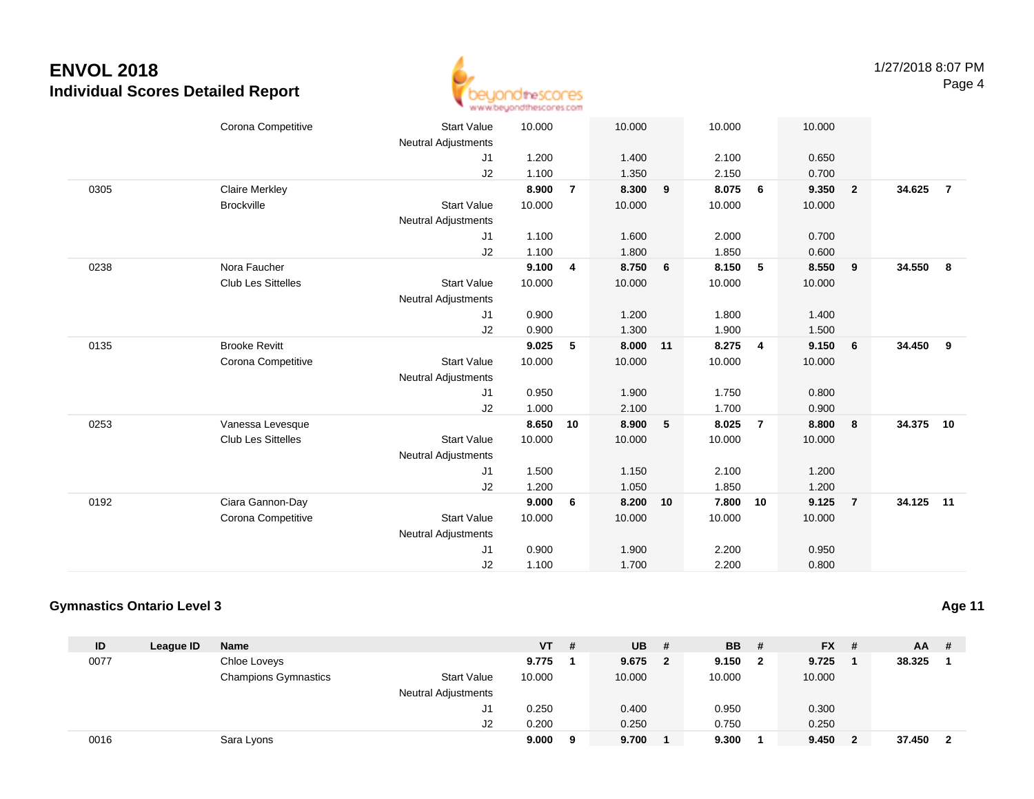

|      | Corona Competitive        | <b>Start Value</b>         | 10.000 |                         | 10.000 |    | 10.000 |                | 10.000 |                         |           |                |
|------|---------------------------|----------------------------|--------|-------------------------|--------|----|--------|----------------|--------|-------------------------|-----------|----------------|
|      |                           | <b>Neutral Adjustments</b> |        |                         |        |    |        |                |        |                         |           |                |
|      |                           | J1                         | 1.200  |                         | 1.400  |    | 2.100  |                | 0.650  |                         |           |                |
|      |                           | J2                         | 1.100  |                         | 1.350  |    | 2.150  |                | 0.700  |                         |           |                |
| 0305 | <b>Claire Merkley</b>     |                            | 8.900  | $\overline{7}$          | 8.300  | 9  | 8.075  | 6              | 9.350  | $\overline{\mathbf{2}}$ | 34.625    | $\overline{7}$ |
|      | <b>Brockville</b>         | <b>Start Value</b>         | 10.000 |                         | 10.000 |    | 10.000 |                | 10.000 |                         |           |                |
|      |                           | <b>Neutral Adjustments</b> |        |                         |        |    |        |                |        |                         |           |                |
|      |                           | J1                         | 1.100  |                         | 1.600  |    | 2.000  |                | 0.700  |                         |           |                |
|      |                           | J2                         | 1.100  |                         | 1.800  |    | 1.850  |                | 0.600  |                         |           |                |
| 0238 | Nora Faucher              |                            | 9.100  | $\overline{\mathbf{4}}$ | 8.750  | 6  | 8.150  | 5              | 8.550  | 9                       | 34.550    | 8              |
|      | <b>Club Les Sittelles</b> | <b>Start Value</b>         | 10.000 |                         | 10.000 |    | 10.000 |                | 10.000 |                         |           |                |
|      |                           | <b>Neutral Adjustments</b> |        |                         |        |    |        |                |        |                         |           |                |
|      |                           | J1                         | 0.900  |                         | 1.200  |    | 1.800  |                | 1.400  |                         |           |                |
|      |                           | J2                         | 0.900  |                         | 1.300  |    | 1.900  |                | 1.500  |                         |           |                |
| 0135 | <b>Brooke Revitt</b>      |                            | 9.025  | 5                       | 8.000  | 11 | 8.275  | $\overline{4}$ | 9.150  | 6                       | 34.450    | 9              |
|      | Corona Competitive        | <b>Start Value</b>         | 10.000 |                         | 10.000 |    | 10.000 |                | 10.000 |                         |           |                |
|      |                           | <b>Neutral Adjustments</b> |        |                         |        |    |        |                |        |                         |           |                |
|      |                           | J1                         | 0.950  |                         | 1.900  |    | 1.750  |                | 0.800  |                         |           |                |
|      |                           | J2                         | 1.000  |                         | 2.100  |    | 1.700  |                | 0.900  |                         |           |                |
| 0253 | Vanessa Levesque          |                            | 8.650  | 10                      | 8.900  | 5  | 8.025  | $\overline{7}$ | 8.800  | 8                       | 34.375    | 10             |
|      | <b>Club Les Sittelles</b> | <b>Start Value</b>         | 10.000 |                         | 10.000 |    | 10.000 |                | 10.000 |                         |           |                |
|      |                           | <b>Neutral Adjustments</b> |        |                         |        |    |        |                |        |                         |           |                |
|      |                           | J1                         | 1.500  |                         | 1.150  |    | 2.100  |                | 1.200  |                         |           |                |
|      |                           | J2                         | 1.200  |                         | 1.050  |    | 1.850  |                | 1.200  |                         |           |                |
| 0192 | Ciara Gannon-Day          |                            | 9.000  | 6                       | 8.200  | 10 | 7.800  | 10             | 9.125  | $\overline{7}$          | 34.125 11 |                |
|      | Corona Competitive        | <b>Start Value</b>         | 10.000 |                         | 10.000 |    | 10.000 |                | 10.000 |                         |           |                |
|      |                           |                            |        |                         |        |    |        |                |        |                         |           |                |
|      |                           | <b>Neutral Adjustments</b> |        |                         |        |    |        |                |        |                         |           |                |
|      |                           | J <sub>1</sub>             | 0.900  |                         | 1.900  |    | 2.200  |                | 0.950  |                         |           |                |
|      |                           | J2                         | 1.100  |                         | 1.700  |    | 2.200  |                | 0.800  |                         |           |                |

#### **Gymnastics Ontario Level 3**

| ID   | League ID | <b>Name</b>                 |                            | VT     | # | <b>UB</b> | #            | <b>BB</b> # |              | $FX$ # |              | $AA$ # |                         |
|------|-----------|-----------------------------|----------------------------|--------|---|-----------|--------------|-------------|--------------|--------|--------------|--------|-------------------------|
| 0077 |           | Chloe Loveys                |                            | 9.775  |   | 9.675     | $\mathbf{2}$ | 9.150       | $\mathbf{2}$ | 9.725  |              | 38.325 |                         |
|      |           | <b>Champions Gymnastics</b> | <b>Start Value</b>         | 10.000 |   | 10.000    |              | 10.000      |              | 10.000 |              |        |                         |
|      |           |                             | <b>Neutral Adjustments</b> |        |   |           |              |             |              |        |              |        |                         |
|      |           |                             | J1                         | 0.250  |   | 0.400     |              | 0.950       |              | 0.300  |              |        |                         |
|      |           |                             | J2                         | 0.200  |   | 0.250     |              | 0.750       |              | 0.250  |              |        |                         |
| 0016 |           | Sara Lyons                  |                            | 9.000  | 9 | 9.700     |              | 9.300       |              | 9.450  | $\mathbf{2}$ | 37.450 | $\overline{\mathbf{2}}$ |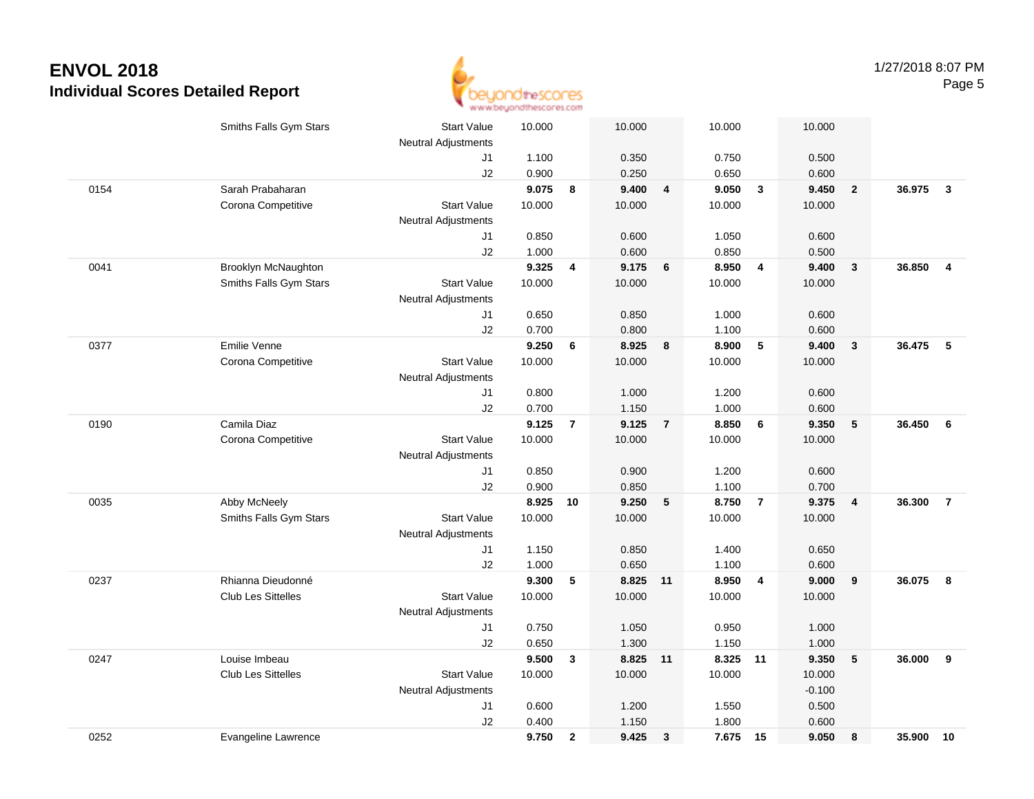

|      | Smiths Falls Gym Stars    | <b>Start Value</b>         | 10.000 |                | 10.000   |                | 10.000   |                         | 10.000         |                         |          |                |
|------|---------------------------|----------------------------|--------|----------------|----------|----------------|----------|-------------------------|----------------|-------------------------|----------|----------------|
|      |                           | <b>Neutral Adjustments</b> |        |                |          |                |          |                         |                |                         |          |                |
|      |                           | J1                         | 1.100  |                | 0.350    |                | 0.750    |                         | 0.500          |                         |          |                |
|      |                           | J2                         | 0.900  |                | 0.250    |                | 0.650    |                         | 0.600          |                         |          |                |
| 0154 | Sarah Prabaharan          |                            | 9.075  | 8              | 9.400    | $\overline{4}$ | 9.050    | $\overline{\mathbf{3}}$ | 9.450          | $\overline{\mathbf{2}}$ | 36.975   | $\mathbf{3}$   |
|      | Corona Competitive        | <b>Start Value</b>         | 10.000 |                | 10.000   |                | 10.000   |                         | 10.000         |                         |          |                |
|      |                           | <b>Neutral Adjustments</b> |        |                |          |                |          |                         |                |                         |          |                |
|      |                           | J1                         | 0.850  |                | 0.600    |                | 1.050    |                         | 0.600          |                         |          |                |
|      |                           | J2                         | 1.000  |                | 0.600    |                | 0.850    |                         | 0.500          |                         |          |                |
| 0041 | Brooklyn McNaughton       |                            | 9.325  | 4              | 9.175    | 6              | 8.950    | $\overline{\mathbf{4}}$ | 9.400          | $\mathbf{3}$            | 36.850   | $\overline{4}$ |
|      | Smiths Falls Gym Stars    | <b>Start Value</b>         | 10.000 |                | 10.000   |                | 10.000   |                         | 10.000         |                         |          |                |
|      |                           | <b>Neutral Adjustments</b> |        |                |          |                |          |                         |                |                         |          |                |
|      |                           | J1                         | 0.650  |                | 0.850    |                | 1.000    |                         | 0.600          |                         |          |                |
|      |                           | J2                         | 0.700  |                | 0.800    |                | 1.100    |                         | 0.600          |                         |          |                |
| 0377 | Emilie Venne              |                            | 9.250  | 6              | 8.925    | 8              | 8.900    | 5                       | 9.400          | $\mathbf{3}$            | 36.475 5 |                |
|      | Corona Competitive        | <b>Start Value</b>         | 10.000 |                | 10.000   |                | 10.000   |                         | 10.000         |                         |          |                |
|      |                           | <b>Neutral Adjustments</b> |        |                |          |                |          |                         |                |                         |          |                |
|      |                           | J1                         | 0.800  |                | 1.000    |                | 1.200    |                         | 0.600          |                         |          |                |
|      |                           | J2                         | 0.700  |                | 1.150    |                | 1.000    |                         | 0.600          |                         |          |                |
| 0190 | Camila Diaz               |                            | 9.125  | $\overline{7}$ | 9.125    | $\overline{7}$ | 8.850    | $6\phantom{1}6$         | 9.350          | $5\phantom{.0}$         | 36.450   | 6              |
|      | Corona Competitive        | <b>Start Value</b>         | 10.000 |                | 10.000   |                | 10.000   |                         | 10.000         |                         |          |                |
|      |                           | <b>Neutral Adjustments</b> |        |                |          |                |          |                         |                |                         |          |                |
|      |                           | J1                         | 0.850  |                | 0.900    |                | 1.200    |                         | 0.600          |                         |          |                |
|      |                           | J2                         | 0.900  |                | 0.850    |                | 1.100    |                         | 0.700          |                         |          |                |
| 0035 | Abby McNeely              |                            | 8.925  | 10             | 9.250    | 5              | 8.750    | $\overline{7}$          | 9.375          | $\overline{4}$          | 36.300   | $\overline{7}$ |
|      | Smiths Falls Gym Stars    | <b>Start Value</b>         | 10.000 |                | 10.000   |                | 10.000   |                         | 10.000         |                         |          |                |
|      |                           | Neutral Adjustments        |        |                |          |                |          |                         |                |                         |          |                |
|      |                           | J1                         | 1.150  |                | 0.850    |                | 1.400    |                         | 0.650          |                         |          |                |
|      |                           | J2                         | 1.000  |                | 0.650    |                | 1.100    |                         | 0.600          |                         |          |                |
| 0237 | Rhianna Dieudonné         |                            | 9.300  | 5              | 8.825 11 |                | 8.950    | $\overline{4}$          | 9.000          | 9                       | 36.075   | - 8            |
|      | <b>Club Les Sittelles</b> | <b>Start Value</b>         | 10.000 |                | 10.000   |                | 10.000   |                         | 10.000         |                         |          |                |
|      |                           | Neutral Adjustments        |        |                |          |                |          |                         |                |                         |          |                |
|      |                           | J1                         | 0.750  |                | 1.050    |                | 0.950    |                         | 1.000          |                         |          |                |
|      |                           | J2                         | 0.650  |                | 1.300    |                | 1.150    |                         | 1.000          |                         |          |                |
| 0247 | Louise Imbeau             |                            | 9.500  | 3              | 8.825 11 |                | 8.325    | 11                      | 9.350          | $\sqrt{5}$              | 36.000   | 9              |
|      | <b>Club Les Sittelles</b> | <b>Start Value</b>         | 10.000 |                | 10.000   |                | 10.000   |                         | 10.000         |                         |          |                |
|      |                           | Neutral Adjustments        |        |                |          |                |          |                         | $-0.100$       |                         |          |                |
|      |                           | J1                         | 0.600  |                | 1.200    |                | 1.550    |                         | 0.500          |                         |          |                |
|      |                           | J2                         | 0.400  |                | 1.150    |                | 1.800    |                         | 0.600<br>9.050 |                         |          |                |
| 0252 | Evangeline Lawrence       |                            | 9.750  | $\overline{2}$ | 9.425    | $\mathbf{3}$   | 7.675 15 |                         |                | 8                       | 35.900   | 10             |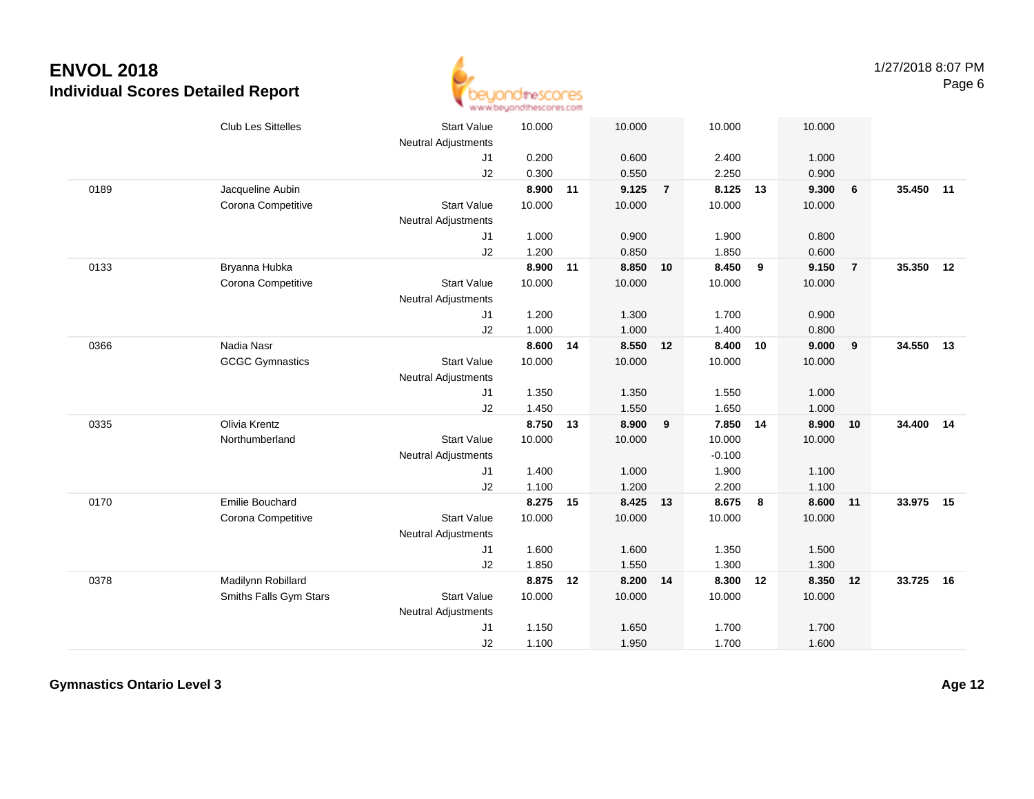

|      | Club Les Sittelles     | <b>Start Value</b><br><b>Neutral Adjustments</b> | 10.000 |    | 10.000   |                | 10.000   |    | 10.000   |                |           |    |
|------|------------------------|--------------------------------------------------|--------|----|----------|----------------|----------|----|----------|----------------|-----------|----|
|      |                        | J <sub>1</sub>                                   | 0.200  |    | 0.600    |                | 2.400    |    | 1.000    |                |           |    |
|      |                        | J2                                               | 0.300  |    | 0.550    |                | 2.250    |    | 0.900    |                |           |    |
| 0189 | Jacqueline Aubin       |                                                  | 8.900  | 11 | 9.125    | $\overline{7}$ | 8.125    | 13 | 9.300    | 6              | 35.450 11 |    |
|      | Corona Competitive     | <b>Start Value</b>                               | 10.000 |    | 10.000   |                | 10.000   |    | 10.000   |                |           |    |
|      |                        | <b>Neutral Adjustments</b>                       |        |    |          |                |          |    |          |                |           |    |
|      |                        | J1                                               | 1.000  |    | 0.900    |                | 1.900    |    | 0.800    |                |           |    |
|      |                        | J2                                               | 1.200  |    | 0.850    |                | 1.850    |    | 0.600    |                |           |    |
| 0133 | Bryanna Hubka          |                                                  | 8.900  | 11 | 8.850    | 10             | 8.450    | 9  | 9.150    | $\overline{7}$ | 35.350 12 |    |
|      | Corona Competitive     | <b>Start Value</b>                               | 10.000 |    | 10.000   |                | 10.000   |    | 10.000   |                |           |    |
|      |                        | <b>Neutral Adjustments</b>                       |        |    |          |                |          |    |          |                |           |    |
|      |                        | J <sub>1</sub>                                   | 1.200  |    | 1.300    |                | 1.700    |    | 0.900    |                |           |    |
|      |                        | J2                                               | 1.000  |    | 1.000    |                | 1.400    |    | 0.800    |                |           |    |
| 0366 | Nadia Nasr             |                                                  | 8.600  | 14 | 8.550    | 12             | 8.400    | 10 | 9.000    | 9              | 34.550 13 |    |
|      | <b>GCGC Gymnastics</b> | <b>Start Value</b>                               | 10.000 |    | 10.000   |                | 10.000   |    | 10.000   |                |           |    |
|      |                        | <b>Neutral Adjustments</b>                       |        |    |          |                |          |    |          |                |           |    |
|      |                        | J1                                               | 1.350  |    | 1.350    |                | 1.550    |    | 1.000    |                |           |    |
|      |                        | J2                                               | 1.450  |    | 1.550    |                | 1.650    |    | 1.000    |                |           |    |
| 0335 | Olivia Krentz          |                                                  | 8.750  | 13 | 8.900    | 9              | 7.850    | 14 | 8.900    | 10             | 34.400 14 |    |
|      | Northumberland         | <b>Start Value</b>                               | 10.000 |    | 10.000   |                | 10.000   |    | 10.000   |                |           |    |
|      |                        | <b>Neutral Adjustments</b>                       |        |    |          |                | $-0.100$ |    |          |                |           |    |
|      |                        | J1                                               | 1.400  |    | 1.000    |                | 1.900    |    | 1.100    |                |           |    |
|      |                        | J2                                               | 1.100  |    | 1.200    |                | 2.200    |    | 1.100    |                |           |    |
| 0170 | Emilie Bouchard        |                                                  | 8.275  | 15 | 8.425    | 13             | 8.675    | 8  | 8.600    | 11             | 33.975    | 15 |
|      | Corona Competitive     | <b>Start Value</b>                               | 10.000 |    | 10.000   |                | 10.000   |    | 10.000   |                |           |    |
|      |                        | <b>Neutral Adjustments</b>                       |        |    |          |                |          |    |          |                |           |    |
|      |                        | J1                                               | 1.600  |    | 1.600    |                | 1.350    |    | 1.500    |                |           |    |
|      |                        | J2                                               | 1.850  |    | 1.550    |                | 1.300    |    | 1.300    |                |           |    |
| 0378 | Madilynn Robillard     |                                                  | 8.875  | 12 | 8.200 14 |                | 8.300    | 12 | 8.350 12 |                | 33.725    | 16 |
|      | Smiths Falls Gym Stars | <b>Start Value</b>                               | 10.000 |    | 10.000   |                | 10.000   |    | 10.000   |                |           |    |
|      |                        | <b>Neutral Adjustments</b>                       |        |    |          |                |          |    |          |                |           |    |
|      |                        | J1                                               | 1.150  |    | 1.650    |                | 1.700    |    | 1.700    |                |           |    |
|      |                        | J2                                               | 1.100  |    | 1.950    |                | 1.700    |    | 1.600    |                |           |    |

**Gymnastics Ontario Level 3**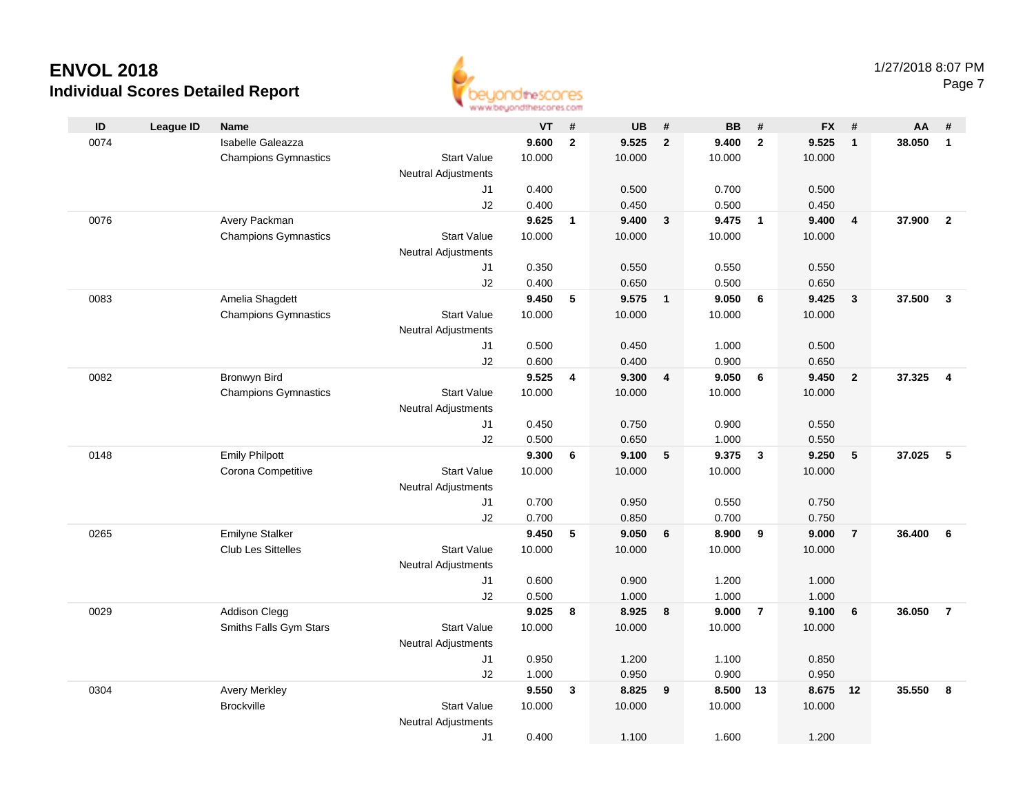

|      | an an aarontofour unus sector |                             |                            |        |                         |           |                         |           |                         |           |                         |        |                         |
|------|-------------------------------|-----------------------------|----------------------------|--------|-------------------------|-----------|-------------------------|-----------|-------------------------|-----------|-------------------------|--------|-------------------------|
| ID   | <b>League ID</b>              | Name                        |                            | VT     | #                       | <b>UB</b> | #                       | <b>BB</b> | #                       | <b>FX</b> | #                       | AA     | #                       |
| 0074 |                               | Isabelle Galeazza           |                            | 9.600  | $\overline{\mathbf{2}}$ | 9.525     | $\mathbf{2}$            | 9.400     | $\overline{2}$          | 9.525     | $\overline{1}$          | 38.050 | $\mathbf{1}$            |
|      |                               | <b>Champions Gymnastics</b> | <b>Start Value</b>         | 10.000 |                         | 10.000    |                         | 10.000    |                         | 10.000    |                         |        |                         |
|      |                               |                             | <b>Neutral Adjustments</b> |        |                         |           |                         |           |                         |           |                         |        |                         |
|      |                               |                             | J1                         | 0.400  |                         | 0.500     |                         | 0.700     |                         | 0.500     |                         |        |                         |
|      |                               |                             | J2                         | 0.400  |                         | 0.450     |                         | 0.500     |                         | 0.450     |                         |        |                         |
| 0076 |                               | Avery Packman               |                            | 9.625  | $\overline{1}$          | 9.400     | $\mathbf{3}$            | 9.475     | $\overline{1}$          | 9.400     | $\overline{\mathbf{4}}$ | 37.900 | $\overline{2}$          |
|      |                               | <b>Champions Gymnastics</b> | <b>Start Value</b>         | 10.000 |                         | 10.000    |                         | 10.000    |                         | 10.000    |                         |        |                         |
|      |                               |                             | <b>Neutral Adjustments</b> |        |                         |           |                         |           |                         |           |                         |        |                         |
|      |                               |                             | J1                         | 0.350  |                         | 0.550     |                         | 0.550     |                         | 0.550     |                         |        |                         |
|      |                               |                             | J2                         | 0.400  |                         | 0.650     |                         | 0.500     |                         | 0.650     |                         |        |                         |
| 0083 |                               | Amelia Shagdett             |                            | 9.450  | 5                       | 9.575     | $\overline{\mathbf{1}}$ | 9.050     | 6                       | 9.425     | $\mathbf{3}$            | 37.500 | $\mathbf{3}$            |
|      |                               | <b>Champions Gymnastics</b> | <b>Start Value</b>         | 10.000 |                         | 10.000    |                         | 10.000    |                         | 10.000    |                         |        |                         |
|      |                               |                             | Neutral Adjustments        |        |                         |           |                         |           |                         |           |                         |        |                         |
|      |                               |                             | J1                         | 0.500  |                         | 0.450     |                         | 1.000     |                         | 0.500     |                         |        |                         |
|      |                               |                             | J2                         | 0.600  |                         | 0.400     |                         | 0.900     |                         | 0.650     |                         |        |                         |
| 0082 |                               | Bronwyn Bird                |                            | 9.525  | 4                       | 9.300     | $\overline{\mathbf{4}}$ | 9.050     | 6                       | 9.450     | $\overline{2}$          | 37.325 | $\overline{\mathbf{4}}$ |
|      |                               | <b>Champions Gymnastics</b> | <b>Start Value</b>         | 10.000 |                         | 10.000    |                         | 10.000    |                         | 10.000    |                         |        |                         |
|      |                               |                             | <b>Neutral Adjustments</b> |        |                         |           |                         |           |                         |           |                         |        |                         |
|      |                               |                             | J1                         | 0.450  |                         | 0.750     |                         | 0.900     |                         | 0.550     |                         |        |                         |
|      |                               |                             | J2                         | 0.500  |                         | 0.650     |                         | 1.000     |                         | 0.550     |                         |        |                         |
| 0148 |                               | <b>Emily Philpott</b>       |                            | 9.300  | 6                       | 9.100     | 5                       | 9.375     | $\overline{\mathbf{3}}$ | 9.250     | 5                       | 37.025 | 5                       |
|      |                               | Corona Competitive          | <b>Start Value</b>         | 10.000 |                         | 10.000    |                         | 10.000    |                         | 10.000    |                         |        |                         |
|      |                               |                             | Neutral Adjustments        |        |                         |           |                         |           |                         |           |                         |        |                         |
|      |                               |                             | J1                         | 0.700  |                         | 0.950     |                         | 0.550     |                         | 0.750     |                         |        |                         |
|      |                               |                             | J2                         | 0.700  |                         | 0.850     |                         | 0.700     |                         | 0.750     |                         |        |                         |
| 0265 |                               | <b>Emilyne Stalker</b>      |                            | 9.450  | 5                       | 9.050     | 6                       | 8.900     | 9                       | 9.000     | $\overline{7}$          | 36,400 | 6                       |
|      |                               | <b>Club Les Sittelles</b>   | <b>Start Value</b>         | 10.000 |                         | 10.000    |                         | 10.000    |                         | 10.000    |                         |        |                         |
|      |                               |                             | <b>Neutral Adjustments</b> | 0.600  |                         | 0.900     |                         | 1.200     |                         | 1.000     |                         |        |                         |
|      |                               |                             | J1<br>J2                   | 0.500  |                         | 1.000     |                         | 1.000     |                         | 1.000     |                         |        |                         |
| 0029 |                               | <b>Addison Clegg</b>        |                            | 9.025  | 8                       | 8.925     | 8                       | 9.000     | $\overline{7}$          | 9.100     | 6                       | 36.050 | $\overline{7}$          |
|      |                               | Smiths Falls Gym Stars      | <b>Start Value</b>         | 10.000 |                         | 10.000    |                         | 10.000    |                         | 10.000    |                         |        |                         |
|      |                               |                             | <b>Neutral Adjustments</b> |        |                         |           |                         |           |                         |           |                         |        |                         |
|      |                               |                             | J1                         | 0.950  |                         | 1.200     |                         | 1.100     |                         | 0.850     |                         |        |                         |
|      |                               |                             | J2                         | 1.000  |                         | 0.950     |                         | 0.900     |                         | 0.950     |                         |        |                         |
| 0304 |                               | <b>Avery Merkley</b>        |                            | 9.550  | $\mathbf{3}$            | 8.825     | 9                       | 8.500     | 13                      | 8.675     | 12                      | 35.550 | 8                       |
|      |                               | <b>Brockville</b>           | <b>Start Value</b>         | 10.000 |                         | 10.000    |                         | 10.000    |                         | 10.000    |                         |        |                         |
|      |                               |                             | <b>Neutral Adjustments</b> |        |                         |           |                         |           |                         |           |                         |        |                         |
|      |                               |                             | J1                         | 0.400  |                         | 1.100     |                         | 1.600     |                         | 1.200     |                         |        |                         |
|      |                               |                             |                            |        |                         |           |                         |           |                         |           |                         |        |                         |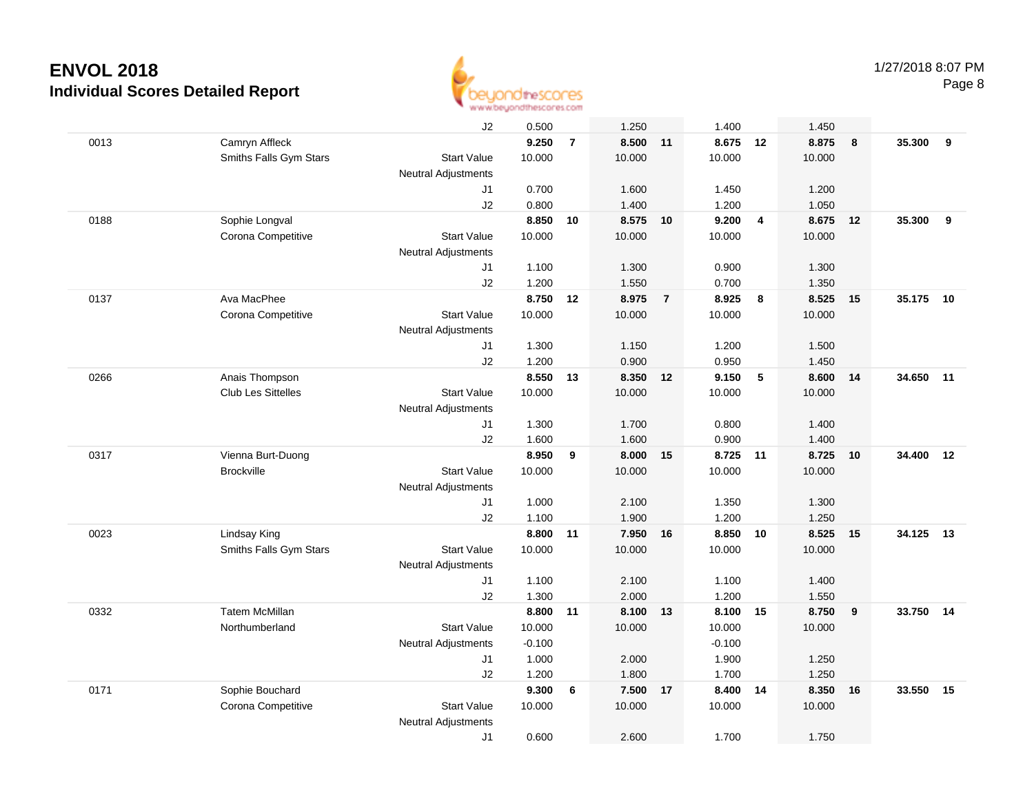

|      |                           | J2                         | 0.500    |                | 1.250    |                | 1.400    |                 | 1.450  |    |        |    |
|------|---------------------------|----------------------------|----------|----------------|----------|----------------|----------|-----------------|--------|----|--------|----|
| 0013 | Camryn Affleck            |                            | 9.250    | $\overline{7}$ | 8.500 11 |                | 8.675 12 |                 | 8.875  | 8  | 35.300 | 9  |
|      | Smiths Falls Gym Stars    | <b>Start Value</b>         | 10.000   |                | 10.000   |                | 10.000   |                 | 10.000 |    |        |    |
|      |                           | <b>Neutral Adjustments</b> |          |                |          |                |          |                 |        |    |        |    |
|      |                           | J1                         | 0.700    |                | 1.600    |                | 1.450    |                 | 1.200  |    |        |    |
|      |                           | J2                         | 0.800    |                | 1.400    |                | 1.200    |                 | 1.050  |    |        |    |
| 0188 | Sophie Longval            |                            | 8.850    | 10             | 8.575    | 10             | 9.200    | $\overline{4}$  | 8.675  | 12 | 35.300 | 9  |
|      | Corona Competitive        | <b>Start Value</b>         | 10.000   |                | 10.000   |                | 10.000   |                 | 10.000 |    |        |    |
|      |                           | <b>Neutral Adjustments</b> |          |                |          |                |          |                 |        |    |        |    |
|      |                           | J1                         | 1.100    |                | 1.300    |                | 0.900    |                 | 1.300  |    |        |    |
|      |                           | J2                         | 1.200    |                | 1.550    |                | 0.700    |                 | 1.350  |    |        |    |
| 0137 | Ava MacPhee               |                            | 8.750    | 12             | 8.975    | $\overline{7}$ | 8.925    | 8               | 8.525  | 15 | 35.175 | 10 |
|      | Corona Competitive        | <b>Start Value</b>         | 10.000   |                | 10.000   |                | 10.000   |                 | 10.000 |    |        |    |
|      |                           | <b>Neutral Adjustments</b> |          |                |          |                |          |                 |        |    |        |    |
|      |                           | J1                         | 1.300    |                | 1.150    |                | 1.200    |                 | 1.500  |    |        |    |
|      |                           | J2                         | 1.200    |                | 0.900    |                | 0.950    |                 | 1.450  |    |        |    |
| 0266 | Anais Thompson            |                            | 8.550    | 13             | 8.350    | 12             | 9.150    | $5\phantom{.0}$ | 8.600  | 14 | 34.650 | 11 |
|      | <b>Club Les Sittelles</b> | <b>Start Value</b>         | 10.000   |                | 10.000   |                | 10.000   |                 | 10.000 |    |        |    |
|      |                           | <b>Neutral Adjustments</b> |          |                |          |                |          |                 |        |    |        |    |
|      |                           | J1                         | 1.300    |                | 1.700    |                | 0.800    |                 | 1.400  |    |        |    |
|      |                           | J2                         | 1.600    |                | 1.600    |                | 0.900    |                 | 1.400  |    |        |    |
| 0317 | Vienna Burt-Duong         |                            | 8.950    | 9              | 8.000    | 15             | 8.725    | 11              | 8.725  | 10 | 34.400 | 12 |
|      | <b>Brockville</b>         | <b>Start Value</b>         | 10.000   |                | 10.000   |                | 10.000   |                 | 10.000 |    |        |    |
|      |                           | <b>Neutral Adjustments</b> |          |                |          |                |          |                 |        |    |        |    |
|      |                           | J1                         | 1.000    |                | 2.100    |                | 1.350    |                 | 1.300  |    |        |    |
|      |                           | J2                         | 1.100    |                | 1.900    |                | 1.200    |                 | 1.250  |    |        |    |
| 0023 | Lindsay King              |                            | 8.800    | 11             | 7.950    | 16             | 8.850    | 10              | 8.525  | 15 | 34.125 | 13 |
|      | Smiths Falls Gym Stars    | <b>Start Value</b>         | 10.000   |                | 10.000   |                | 10.000   |                 | 10.000 |    |        |    |
|      |                           | <b>Neutral Adjustments</b> |          |                |          |                |          |                 |        |    |        |    |
|      |                           | J1                         | 1.100    |                | 2.100    |                | 1.100    |                 | 1.400  |    |        |    |
|      |                           | J2                         | 1.300    |                | 2.000    |                | 1.200    |                 | 1.550  |    |        |    |
| 0332 | <b>Tatem McMillan</b>     |                            | 8.800 11 |                | 8.100 13 |                | 8.100 15 |                 | 8.750  | 9  | 33.750 | 14 |
|      | Northumberland            | <b>Start Value</b>         | 10.000   |                | 10.000   |                | 10.000   |                 | 10.000 |    |        |    |
|      |                           | <b>Neutral Adjustments</b> | $-0.100$ |                |          |                | $-0.100$ |                 |        |    |        |    |
|      |                           | J1                         | 1.000    |                | 2.000    |                | 1.900    |                 | 1.250  |    |        |    |
|      |                           | J2                         | 1.200    |                | 1.800    |                | 1.700    |                 | 1.250  |    |        |    |
| 0171 | Sophie Bouchard           |                            | 9.300    | 6              | 7.500    | 17             | 8.400    | 14              | 8.350  | 16 | 33.550 | 15 |
|      | Corona Competitive        | <b>Start Value</b>         | 10.000   |                | 10.000   |                | 10.000   |                 | 10.000 |    |        |    |
|      |                           | <b>Neutral Adjustments</b> |          |                |          |                |          |                 |        |    |        |    |
|      |                           | J1                         | 0.600    |                | 2.600    |                | 1.700    |                 | 1.750  |    |        |    |
|      |                           |                            |          |                |          |                |          |                 |        |    |        |    |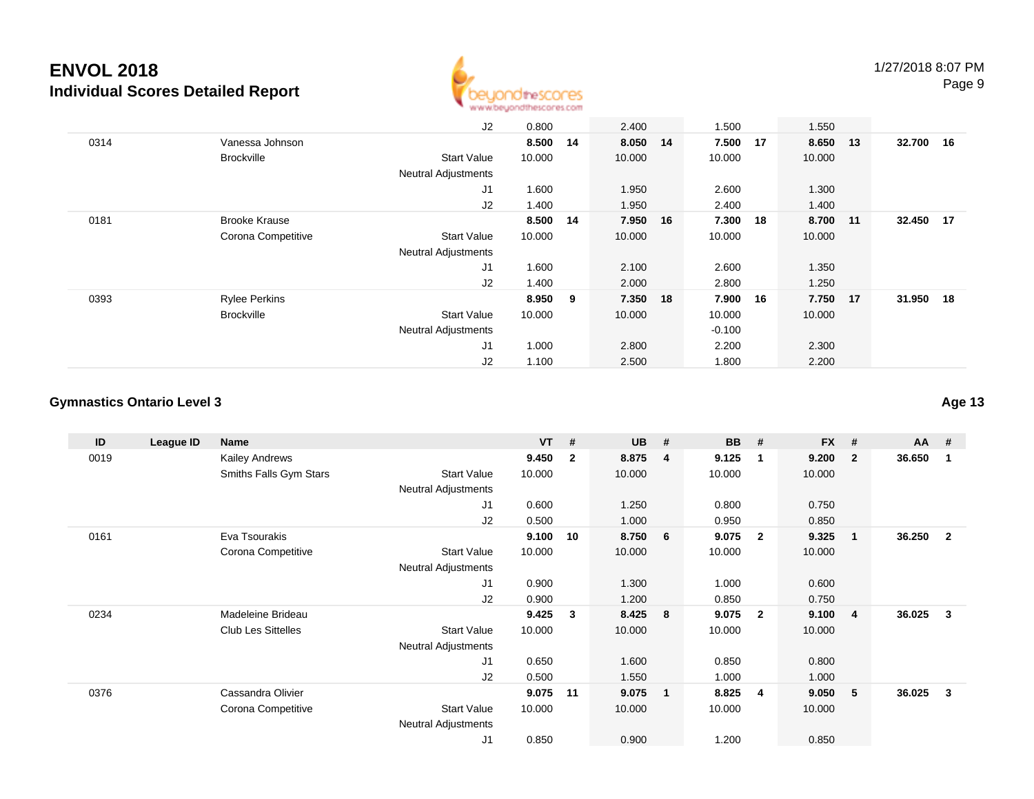

|      |                      | J2                         | 0.800  |     | 2.400    |    | 1.500    |    | 1.550    |           |  |
|------|----------------------|----------------------------|--------|-----|----------|----|----------|----|----------|-----------|--|
| 0314 | Vanessa Johnson      |                            | 8.500  | 14  | 8.050 14 |    | 7.500    | 17 | 8.650 13 | 32.700 16 |  |
|      | <b>Brockville</b>    | <b>Start Value</b>         | 10.000 |     | 10.000   |    | 10.000   |    | 10.000   |           |  |
|      |                      | <b>Neutral Adjustments</b> |        |     |          |    |          |    |          |           |  |
|      |                      | J1                         | 1.600  |     | 1.950    |    | 2.600    |    | 1.300    |           |  |
|      |                      | J2                         | 1.400  |     | 1.950    |    | 2.400    |    | 1.400    |           |  |
| 0181 | <b>Brooke Krause</b> |                            | 8.500  | -14 | 7.950    | 16 | 7.300    | 18 | 8.700 11 | 32.450 17 |  |
|      | Corona Competitive   | <b>Start Value</b>         | 10.000 |     | 10.000   |    | 10.000   |    | 10.000   |           |  |
|      |                      | <b>Neutral Adjustments</b> |        |     |          |    |          |    |          |           |  |
|      |                      | J1                         | 1.600  |     | 2.100    |    | 2.600    |    | 1.350    |           |  |
|      |                      | J2                         | 1.400  |     | 2.000    |    | 2.800    |    | 1.250    |           |  |
| 0393 | <b>Rylee Perkins</b> |                            | 8.950  | 9   | 7.350 18 |    | 7.900    | 16 | 7.750 17 | 31.950 18 |  |
|      | <b>Brockville</b>    | <b>Start Value</b>         | 10.000 |     | 10.000   |    | 10.000   |    | 10.000   |           |  |
|      |                      | <b>Neutral Adjustments</b> |        |     |          |    | $-0.100$ |    |          |           |  |
|      |                      | J1                         | 1.000  |     | 2.800    |    | 2.200    |    | 2.300    |           |  |
|      |                      | J2                         | 1.100  |     | 2.500    |    | 1.800    |    | 2.200    |           |  |

#### **Gymnastics Ontario Level 3**

| ID   | League ID | Name                      |                            | <b>VT</b> | #            | <b>UB</b> | #                       | <b>BB</b> | - #                     | <b>FX</b> | #                       | <b>AA</b> | - #            |
|------|-----------|---------------------------|----------------------------|-----------|--------------|-----------|-------------------------|-----------|-------------------------|-----------|-------------------------|-----------|----------------|
| 0019 |           | Kailey Andrews            |                            | 9.450     | $\mathbf{2}$ | 8.875     | 4                       | 9.125     | $\overline{\mathbf{1}}$ | 9.200     | $\overline{\mathbf{2}}$ | 36.650    | -1             |
|      |           | Smiths Falls Gym Stars    | <b>Start Value</b>         | 10.000    |              | 10.000    |                         | 10.000    |                         | 10.000    |                         |           |                |
|      |           |                           | Neutral Adjustments        |           |              |           |                         |           |                         |           |                         |           |                |
|      |           |                           | J <sub>1</sub>             | 0.600     |              | 1.250     |                         | 0.800     |                         | 0.750     |                         |           |                |
|      |           |                           | J <sub>2</sub>             | 0.500     |              | 1.000     |                         | 0.950     |                         | 0.850     |                         |           |                |
| 0161 |           | Eva Tsourakis             |                            | 9.100     | 10           | 8.750     | 6                       | 9.075     | $\overline{\mathbf{2}}$ | 9.325     | $\overline{\mathbf{1}}$ | 36.250    | $\overline{2}$ |
|      |           | Corona Competitive        | <b>Start Value</b>         | 10.000    |              | 10.000    |                         | 10.000    |                         | 10.000    |                         |           |                |
|      |           |                           | Neutral Adjustments        |           |              |           |                         |           |                         |           |                         |           |                |
|      |           |                           | J1                         | 0.900     |              | 1.300     |                         | 1.000     |                         | 0.600     |                         |           |                |
|      |           |                           | J2                         | 0.900     |              | 1.200     |                         | 0.850     |                         | 0.750     |                         |           |                |
| 0234 |           | Madeleine Brideau         |                            | 9.425     | 3            | 8.425     | $\overline{\mathbf{8}}$ | 9.075     | $\overline{\mathbf{2}}$ | 9.100     | $\overline{4}$          | 36.025    | 3              |
|      |           | <b>Club Les Sittelles</b> | <b>Start Value</b>         | 10.000    |              | 10.000    |                         | 10.000    |                         | 10.000    |                         |           |                |
|      |           |                           | <b>Neutral Adjustments</b> |           |              |           |                         |           |                         |           |                         |           |                |
|      |           |                           | J <sub>1</sub>             | 0.650     |              | 1.600     |                         | 0.850     |                         | 0.800     |                         |           |                |
|      |           |                           | J2                         | 0.500     |              | 1.550     |                         | 1.000     |                         | 1.000     |                         |           |                |
| 0376 |           | Cassandra Olivier         |                            | 9.075     | 11           | 9.075     | -1                      | 8.825     | 4                       | 9.050     | -5                      | 36.025    | 3              |
|      |           | Corona Competitive        | <b>Start Value</b>         | 10.000    |              | 10.000    |                         | 10.000    |                         | 10.000    |                         |           |                |
|      |           |                           | <b>Neutral Adjustments</b> |           |              |           |                         |           |                         |           |                         |           |                |
|      |           |                           | J <sub>1</sub>             | 0.850     |              | 0.900     |                         | 1.200     |                         | 0.850     |                         |           |                |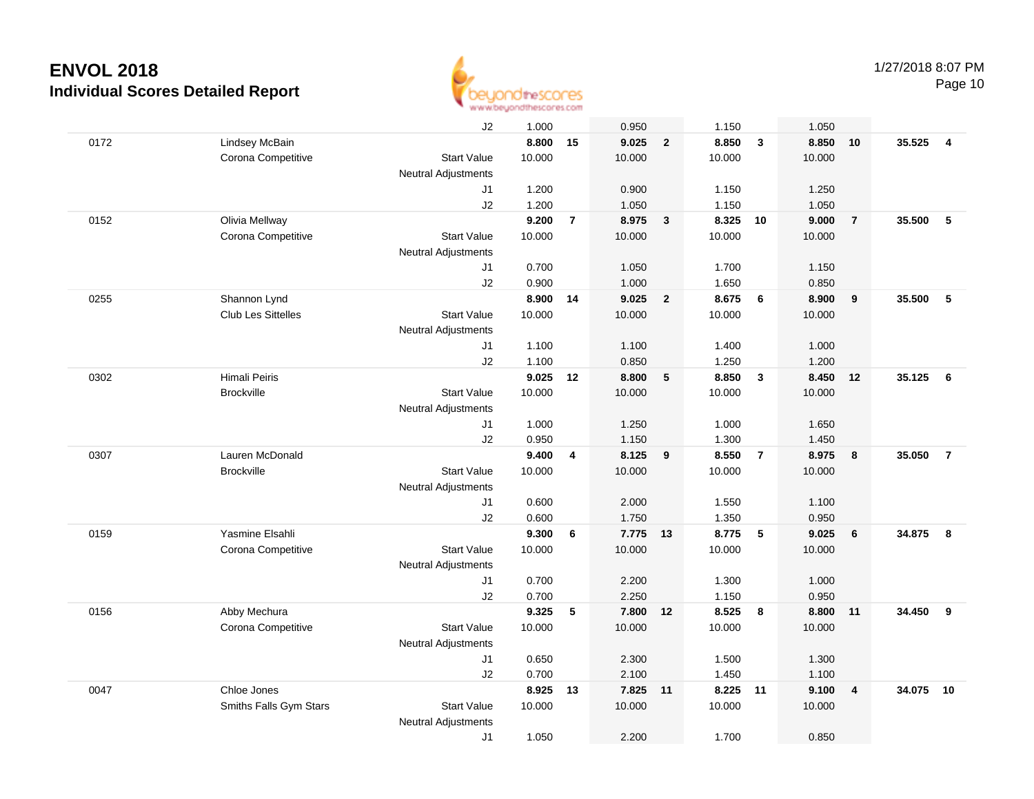

|      |                           | J2                         | 1.000  |                | 0.950    |                         | 1.150  |                | 1.050  |                         |        |                         |
|------|---------------------------|----------------------------|--------|----------------|----------|-------------------------|--------|----------------|--------|-------------------------|--------|-------------------------|
| 0172 | Lindsey McBain            |                            | 8.800  | 15             | 9.025    | $\mathbf{2}$            | 8.850  | $\mathbf{3}$   | 8.850  | 10                      | 35.525 | $\overline{\mathbf{4}}$ |
|      | Corona Competitive        | <b>Start Value</b>         | 10.000 |                | 10.000   |                         | 10.000 |                | 10.000 |                         |        |                         |
|      |                           | <b>Neutral Adjustments</b> |        |                |          |                         |        |                |        |                         |        |                         |
|      |                           | J1                         | 1.200  |                | 0.900    |                         | 1.150  |                | 1.250  |                         |        |                         |
|      |                           | J2                         | 1.200  |                | 1.050    |                         | 1.150  |                | 1.050  |                         |        |                         |
| 0152 | Olivia Mellway            |                            | 9.200  | $\overline{7}$ | 8.975    | $\mathbf{3}$            | 8.325  | 10             | 9.000  | $\overline{7}$          | 35.500 | 5                       |
|      | Corona Competitive        | <b>Start Value</b>         | 10.000 |                | 10.000   |                         | 10.000 |                | 10.000 |                         |        |                         |
|      |                           | <b>Neutral Adjustments</b> |        |                |          |                         |        |                |        |                         |        |                         |
|      |                           | J1                         | 0.700  |                | 1.050    |                         | 1.700  |                | 1.150  |                         |        |                         |
|      |                           | J2                         | 0.900  |                | 1.000    |                         | 1.650  |                | 0.850  |                         |        |                         |
| 0255 | Shannon Lynd              |                            | 8.900  | 14             | 9.025    | $\overline{\mathbf{2}}$ | 8.675  | 6              | 8.900  | 9                       | 35.500 | 5                       |
|      | <b>Club Les Sittelles</b> | <b>Start Value</b>         | 10.000 |                | 10.000   |                         | 10.000 |                | 10.000 |                         |        |                         |
|      |                           | <b>Neutral Adjustments</b> |        |                |          |                         |        |                |        |                         |        |                         |
|      |                           | J1                         | 1.100  |                | 1.100    |                         | 1.400  |                | 1.000  |                         |        |                         |
|      |                           | J2                         | 1.100  |                | 0.850    |                         | 1.250  |                | 1.200  |                         |        |                         |
| 0302 | Himali Peiris             |                            | 9.025  | 12             | 8.800    | $\sqrt{5}$              | 8.850  | $\mathbf{3}$   | 8.450  | 12                      | 35.125 | 6                       |
|      | <b>Brockville</b>         | <b>Start Value</b>         | 10.000 |                | 10.000   |                         | 10.000 |                | 10.000 |                         |        |                         |
|      |                           | Neutral Adjustments        |        |                |          |                         |        |                |        |                         |        |                         |
|      |                           | J1                         | 1.000  |                | 1.250    |                         | 1.000  |                | 1.650  |                         |        |                         |
|      |                           | J2                         | 0.950  |                | 1.150    |                         | 1.300  |                | 1.450  |                         |        |                         |
| 0307 | Lauren McDonald           |                            | 9.400  | 4              | 8.125    | 9                       | 8.550  | $\overline{7}$ | 8.975  | 8                       | 35.050 | $\overline{7}$          |
|      | <b>Brockville</b>         | <b>Start Value</b>         | 10.000 |                | 10.000   |                         | 10.000 |                | 10.000 |                         |        |                         |
|      |                           | <b>Neutral Adjustments</b> |        |                |          |                         |        |                |        |                         |        |                         |
|      |                           | J1                         | 0.600  |                | 2.000    |                         | 1.550  |                | 1.100  |                         |        |                         |
|      |                           | J2                         | 0.600  |                | 1.750    |                         | 1.350  |                | 0.950  |                         |        |                         |
| 0159 | Yasmine Elsahli           |                            | 9.300  | 6              | 7.775 13 |                         | 8.775  | $\sqrt{5}$     | 9.025  | 6                       | 34.875 | 8                       |
|      | Corona Competitive        | <b>Start Value</b>         | 10.000 |                | 10.000   |                         | 10.000 |                | 10.000 |                         |        |                         |
|      |                           | <b>Neutral Adjustments</b> |        |                |          |                         |        |                |        |                         |        |                         |
|      |                           | J1                         | 0.700  |                | 2.200    |                         | 1.300  |                | 1.000  |                         |        |                         |
|      |                           | J2                         | 0.700  |                | 2.250    |                         | 1.150  |                | 0.950  |                         |        |                         |
| 0156 | Abby Mechura              |                            | 9.325  | 5              | 7.800    | 12                      | 8.525  | 8              | 8.800  | 11                      | 34.450 | 9                       |
|      | Corona Competitive        | <b>Start Value</b>         | 10.000 |                | 10.000   |                         | 10.000 |                | 10.000 |                         |        |                         |
|      |                           | <b>Neutral Adjustments</b> |        |                |          |                         |        |                |        |                         |        |                         |
|      |                           | J1                         | 0.650  |                | 2.300    |                         | 1.500  |                | 1.300  |                         |        |                         |
|      |                           | J2                         | 0.700  |                | 2.100    |                         | 1.450  |                | 1.100  |                         |        |                         |
| 0047 | Chloe Jones               |                            | 8.925  | 13             | 7.825 11 |                         | 8.225  | 11             | 9.100  | $\overline{\mathbf{4}}$ | 34.075 | 10                      |
|      | Smiths Falls Gym Stars    | <b>Start Value</b>         | 10.000 |                | 10.000   |                         | 10.000 |                | 10.000 |                         |        |                         |
|      |                           | <b>Neutral Adjustments</b> |        |                |          |                         |        |                |        |                         |        |                         |
|      |                           | J1                         | 1.050  |                | 2.200    |                         | 1.700  |                | 0.850  |                         |        |                         |
|      |                           |                            |        |                |          |                         |        |                |        |                         |        |                         |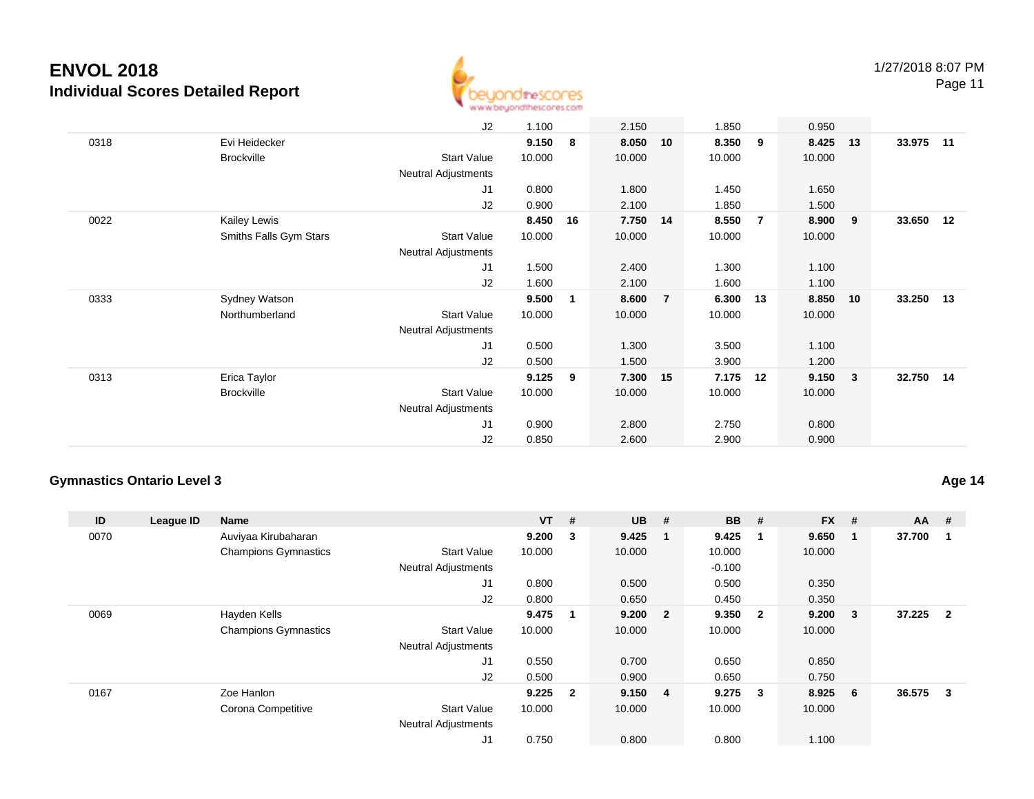

Page 11

|      |                        | J2                         | 1.100  |    | 2.150    |                | 1.850  |    | 0.950  |                         |           |  |
|------|------------------------|----------------------------|--------|----|----------|----------------|--------|----|--------|-------------------------|-----------|--|
| 0318 | Evi Heidecker          |                            | 9.150  | 8  | 8.050    | 10             | 8.350  | 9  | 8.425  | 13                      | 33.975 11 |  |
|      | <b>Brockville</b>      | <b>Start Value</b>         | 10.000 |    | 10.000   |                | 10.000 |    | 10.000 |                         |           |  |
|      |                        | <b>Neutral Adjustments</b> |        |    |          |                |        |    |        |                         |           |  |
|      |                        | J1                         | 0.800  |    | 1.800    |                | 1.450  |    | 1.650  |                         |           |  |
|      |                        | J2                         | 0.900  |    | 2.100    |                | 1.850  |    | 1.500  |                         |           |  |
| 0022 | <b>Kailey Lewis</b>    |                            | 8.450  | 16 | 7.750 14 |                | 8.550  | 7  | 8.900  | $_{9}$                  | 33.650 12 |  |
|      | Smiths Falls Gym Stars | <b>Start Value</b>         | 10.000 |    | 10.000   |                | 10.000 |    | 10.000 |                         |           |  |
|      |                        | Neutral Adjustments        |        |    |          |                |        |    |        |                         |           |  |
|      |                        | J1                         | 1.500  |    | 2.400    |                | 1.300  |    | 1.100  |                         |           |  |
|      |                        | J2                         | 1.600  |    | 2.100    |                | 1.600  |    | 1.100  |                         |           |  |
| 0333 | Sydney Watson          |                            | 9.500  | 1  | 8.600    | $\overline{7}$ | 6.300  | 13 | 8.850  | 10                      | 33.250 13 |  |
|      | Northumberland         | <b>Start Value</b>         | 10.000 |    | 10.000   |                | 10.000 |    | 10.000 |                         |           |  |
|      |                        | Neutral Adjustments        |        |    |          |                |        |    |        |                         |           |  |
|      |                        | J1                         | 0.500  |    | 1.300    |                | 3.500  |    | 1.100  |                         |           |  |
|      |                        | J2                         | 0.500  |    | 1.500    |                | 3.900  |    | 1.200  |                         |           |  |
| 0313 | Erica Taylor           |                            | 9.125  | 9  | 7.300 15 |                | 7.175  | 12 | 9.150  | $\overline{\mathbf{3}}$ | 32.750 14 |  |
|      | <b>Brockville</b>      | <b>Start Value</b>         | 10.000 |    | 10.000   |                | 10.000 |    | 10.000 |                         |           |  |
|      |                        | Neutral Adjustments        |        |    |          |                |        |    |        |                         |           |  |
|      |                        | J1                         | 0.900  |    | 2.800    |                | 2.750  |    | 0.800  |                         |           |  |
|      |                        | J2                         | 0.850  |    | 2.600    |                | 2.900  |    | 0.900  |                         |           |  |
|      |                        |                            |        |    |          |                |        |    |        |                         |           |  |

#### **Gymnastics Ontario Level 3**

| ID   | League ID | <b>Name</b>                 |                            | $VT$ # |                | <b>UB</b> | # | <b>BB</b> | #                       | <b>FX</b> | #            | $AA$ # |              |
|------|-----------|-----------------------------|----------------------------|--------|----------------|-----------|---|-----------|-------------------------|-----------|--------------|--------|--------------|
| 0070 |           | Auviyaa Kirubaharan         |                            | 9.200  | 3              | 9.425     |   | 9.425     | -1                      | 9.650     | -1           | 37.700 |              |
|      |           | <b>Champions Gymnastics</b> | <b>Start Value</b>         | 10.000 |                | 10.000    |   | 10.000    |                         | 10.000    |              |        |              |
|      |           |                             | <b>Neutral Adjustments</b> |        |                |           |   | $-0.100$  |                         |           |              |        |              |
|      |           |                             | J1                         | 0.800  |                | 0.500     |   | 0.500     |                         | 0.350     |              |        |              |
|      |           |                             | J2                         | 0.800  |                | 0.650     |   | 0.450     |                         | 0.350     |              |        |              |
| 0069 |           | Hayden Kells                |                            | 9.475  | 1              | 9.200 2   |   | 9.350     | $\overline{\mathbf{2}}$ | 9.200     | $\mathbf{3}$ | 37.225 | $\mathbf{2}$ |
|      |           | <b>Champions Gymnastics</b> | <b>Start Value</b>         | 10.000 |                | 10.000    |   | 10.000    |                         | 10.000    |              |        |              |
|      |           |                             | <b>Neutral Adjustments</b> |        |                |           |   |           |                         |           |              |        |              |
|      |           |                             | J1                         | 0.550  |                | 0.700     |   | 0.650     |                         | 0.850     |              |        |              |
|      |           |                             | J2                         | 0.500  |                | 0.900     |   | 0.650     |                         | 0.750     |              |        |              |
| 0167 |           | Zoe Hanlon                  |                            | 9.225  | $\overline{2}$ | 9.150 4   |   | 9.275     | $\overline{\mathbf{3}}$ | 8.925     | - 6          | 36.575 | 3            |
|      |           | Corona Competitive          | <b>Start Value</b>         | 10.000 |                | 10.000    |   | 10.000    |                         | 10.000    |              |        |              |
|      |           |                             | <b>Neutral Adjustments</b> |        |                |           |   |           |                         |           |              |        |              |
|      |           |                             | J1                         | 0.750  |                | 0.800     |   | 0.800     |                         | 1.100     |              |        |              |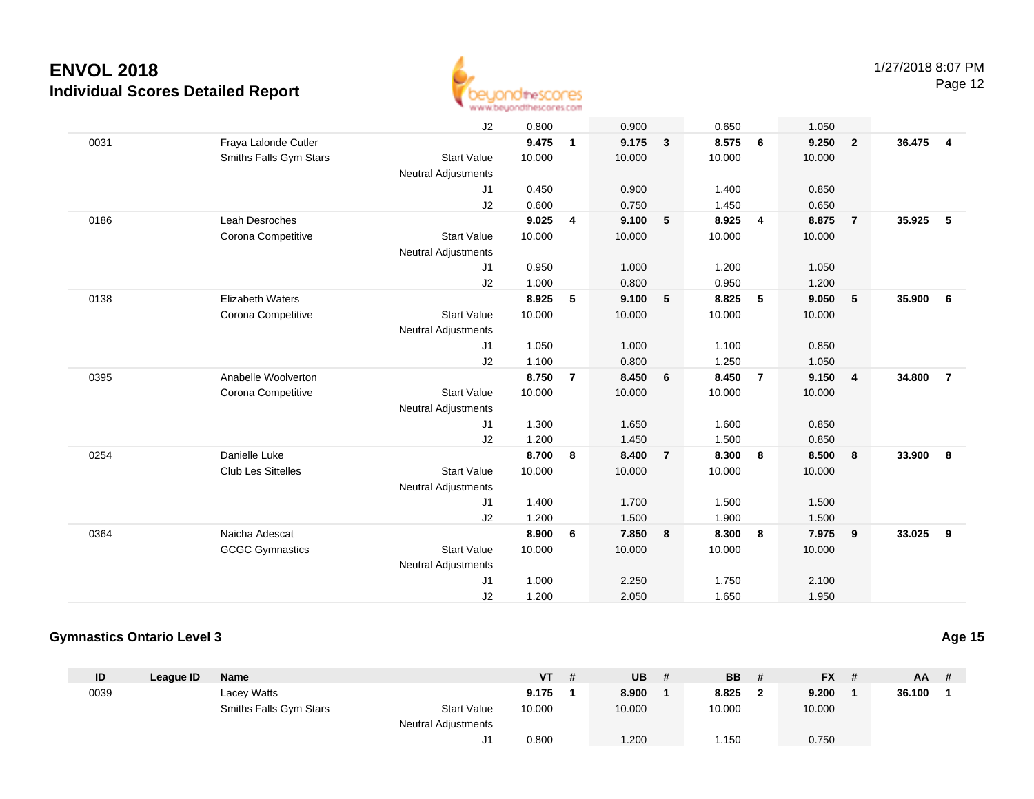

|      |                         | J2                         | 0.800  |                | 0.900  |                         | 0.650  |                | 1.050  |                |        |                |
|------|-------------------------|----------------------------|--------|----------------|--------|-------------------------|--------|----------------|--------|----------------|--------|----------------|
| 0031 | Fraya Lalonde Cutler    |                            | 9.475  | 1              | 9.175  | $\mathbf{3}$            | 8.575  | 6              | 9.250  | $\overline{2}$ | 36.475 | $\overline{4}$ |
|      | Smiths Falls Gym Stars  | <b>Start Value</b>         | 10.000 |                | 10.000 |                         | 10.000 |                | 10.000 |                |        |                |
|      |                         | <b>Neutral Adjustments</b> |        |                |        |                         |        |                |        |                |        |                |
|      |                         | J1                         | 0.450  |                | 0.900  |                         | 1.400  |                | 0.850  |                |        |                |
|      |                         | J2                         | 0.600  |                | 0.750  |                         | 1.450  |                | 0.650  |                |        |                |
| 0186 | <b>Leah Desroches</b>   |                            | 9.025  | 4              | 9.100  | 5                       | 8.925  | $\overline{4}$ | 8.875  | $\overline{7}$ | 35.925 | 5              |
|      | Corona Competitive      | <b>Start Value</b>         | 10.000 |                | 10.000 |                         | 10.000 |                | 10.000 |                |        |                |
|      |                         | <b>Neutral Adjustments</b> |        |                |        |                         |        |                |        |                |        |                |
|      |                         | J1                         | 0.950  |                | 1.000  |                         | 1.200  |                | 1.050  |                |        |                |
|      |                         | J2                         | 1.000  |                | 0.800  |                         | 0.950  |                | 1.200  |                |        |                |
| 0138 | <b>Elizabeth Waters</b> |                            | 8.925  | 5              | 9.100  | 5                       | 8.825  | 5              | 9.050  | 5              | 35.900 | 6              |
|      | Corona Competitive      | <b>Start Value</b>         | 10.000 |                | 10.000 |                         | 10.000 |                | 10.000 |                |        |                |
|      |                         | <b>Neutral Adjustments</b> |        |                |        |                         |        |                |        |                |        |                |
|      |                         | J1                         | 1.050  |                | 1.000  |                         | 1.100  |                | 0.850  |                |        |                |
|      |                         | J2                         | 1.100  |                | 0.800  |                         | 1.250  |                | 1.050  |                |        |                |
| 0395 | Anabelle Woolverton     |                            | 8.750  | $\overline{7}$ | 8.450  | 6                       | 8.450  | $\overline{7}$ | 9.150  | $\overline{4}$ | 34.800 | $\overline{7}$ |
|      | Corona Competitive      | <b>Start Value</b>         | 10.000 |                | 10.000 |                         | 10.000 |                | 10.000 |                |        |                |
|      |                         | <b>Neutral Adjustments</b> |        |                |        |                         |        |                |        |                |        |                |
|      |                         | J1                         | 1.300  |                | 1.650  |                         | 1.600  |                | 0.850  |                |        |                |
|      |                         | J2                         | 1.200  |                | 1.450  |                         | 1.500  |                | 0.850  |                |        |                |
| 0254 | Danielle Luke           |                            | 8.700  | 8              | 8.400  | $\overline{7}$          | 8.300  | 8              | 8.500  | 8              | 33.900 | 8              |
|      | Club Les Sittelles      | <b>Start Value</b>         | 10.000 |                | 10.000 |                         | 10.000 |                | 10.000 |                |        |                |
|      |                         | Neutral Adjustments        |        |                |        |                         |        |                |        |                |        |                |
|      |                         | J1                         | 1.400  |                | 1.700  |                         | 1.500  |                | 1.500  |                |        |                |
|      |                         | J2                         | 1.200  |                | 1.500  |                         | 1.900  |                | 1.500  |                |        |                |
| 0364 | Naicha Adescat          |                            | 8.900  | 6              | 7.850  | $\overline{\mathbf{8}}$ | 8.300  | 8              | 7.975  | $\overline{9}$ | 33.025 | 9              |
|      | <b>GCGC Gymnastics</b>  | <b>Start Value</b>         | 10.000 |                | 10.000 |                         | 10.000 |                | 10.000 |                |        |                |
|      |                         | Neutral Adjustments        |        |                |        |                         |        |                |        |                |        |                |
|      |                         | J1                         | 1.000  |                | 2.250  |                         | 1.750  |                | 2.100  |                |        |                |
|      |                         | J2                         | 1.200  |                | 2.050  |                         | 1.650  |                | 1.950  |                |        |                |

#### **Gymnastics Ontario Level 3**

| ID   | League ID | <b>Name</b>            |                            | <b>VT</b> | - # | UB     | # | <b>BB</b> | <b>FX</b> | # | $AA$ # |  |
|------|-----------|------------------------|----------------------------|-----------|-----|--------|---|-----------|-----------|---|--------|--|
| 0039 |           | Lacey Watts            |                            | 9.175     |     | 8.900  |   | 8.825     | 9.200     |   | 36.100 |  |
|      |           | Smiths Falls Gym Stars | <b>Start Value</b>         | 10.000    |     | 10.000 |   | 10.000    | 10.000    |   |        |  |
|      |           |                        | <b>Neutral Adjustments</b> |           |     |        |   |           |           |   |        |  |
|      |           |                        | ັ                          | 0.800     |     | 1.200  |   | 1.150     | 0.750     |   |        |  |